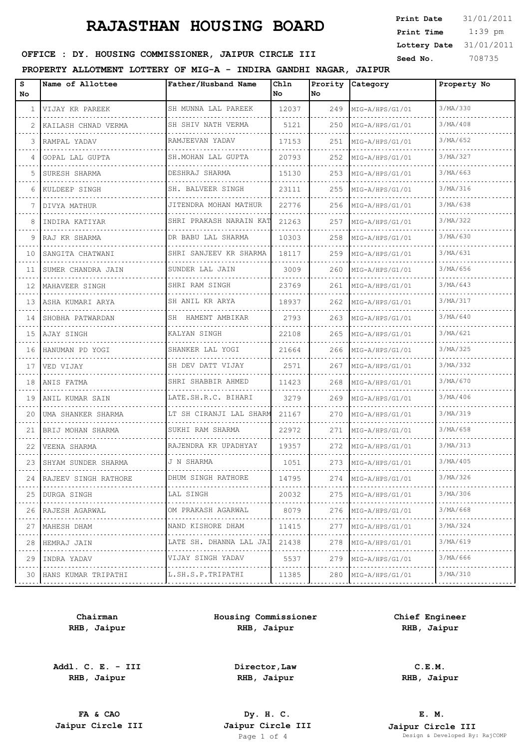## **RAJASTHAN HOUSING BOARD**

 1:39 pm **Print Date**  $31/01/2011$ **Print Time Lottery Date** 31/01/2011

## **SEED OFFICE : DY. HOUSING COMMISSIONER, JAIPUR CIRCLE III** Seed No. 208735

**PROPERTY ALLOTMENT LOTTERY OF MIG-A - INDIRA GANDHI NAGAR, JAIPUR**

| s<br>No. | Name of Allottee     | Father/Husband Name                   | Chln<br>No | Prority<br><b>No</b> | Category             | Property No |
|----------|----------------------|---------------------------------------|------------|----------------------|----------------------|-------------|
| 1        | VIJAY KR PAREEK      | SH MUNNA LAL PAREEK                   | 12037      | 249                  | MIG-A/HPS/G1/01      | 3/MA/330    |
| 2        | KAILASH CHNAD VERMA  | SH SHIV NATH VERMA                    | 5121       | 250                  | MIG-A/HPS/G1/01      | 3/MA/408    |
| 3        | RAMPAL YADAV         | RAMJEEVAN YADAV                       | 17153      | 251                  | MIG-A/HPS/G1/01      | 3/MA/652    |
| 4        | GOPAL LAL GUPTA      | SH. MOHAN LAL GUPTA                   | 20793      | 252                  | MIG-A/HPS/G1/01      | 3/MA/327    |
| 5        | SURESH SHARMA        | DESHRAJ SHARMA                        | 15130      | 253                  | MIG-A/HPS/G1/01      | 3/MA/663    |
| 6        | KULDEEP SINGH        | SH. BALVEER SINGH                     | 23111      | 255                  | MIG-A/HPS/G1/01      | 3/MA/316    |
| 7        | DIVYA MATHUR         | JITENDRA MOHAN MATHUR                 | 22776      | 256                  | MIG-A/HPS/G1/01      | 3/MA/638    |
| 8        | INDIRA KATIYAR       | SHRI PRAKASH NARAIN KAT               | 21263      | 257                  | MIG-A/HPS/G1/01      | 3/MA/322    |
| 9        | RAJ KR SHARMA        | DR BABU LAL SHARMA                    | 10303      | 258                  | MIG-A/HPS/G1/01      | 3/MA/630    |
| 10       | SANGITA CHATWANI     | SHRI SANJEEV KR SHARMA                | 18117      | 259                  | MIG-A/HPS/G1/01      | 3/MA/631    |
| 11       | SUMER CHANDRA JAIN   | SUNDER LAL JAIN                       | 3009       | 260                  | MIG-A/HPS/G1/01      | 3/MA/656    |
| 12       | MAHAVEER SINGH       | SHRI RAM SINGH<br>did did did did did | 23769      | 261                  | MIG-A/HPS/G1/01      | 3/MA/643    |
| 13       | ASHA KUMARI ARYA     | SH ANIL KR ARYA                       | 18937      | 262                  | MIG-A/HPS/G1/01      | 3/MA/317    |
| 14       | SHOBHA PATWARDAN     | SH HAMENT AMBIKAR<br>.                | 2793       | 263                  | MIG-A/HPS/G1/01<br>. | 3/MA/640    |
| 15       | AJAY SINGH           | KALYAN SINGH                          | 22108      | 265                  | MIG-A/HPS/G1/01      | 3/MA/621    |
| 16       | HANUMAN PD YOGI      | SHANKER LAL YOGI<br>.                 | 21664      | 266                  | MIG-A/HPS/G1/01      | 3/MA/325    |
| 17       | VED VIJAY            | SH DEV DATT VIJAY                     | 2571       | 267                  | MIG-A/HPS/G1/01      | 3/MA/332    |
| 18       | ANIS FATMA           | SHRI SHABBIR AHMED<br>.               | 11423      | 268                  | MIG-A/HPS/G1/01      | 3/MA/670    |
| 19       | ANIL KUMAR SAIN      | LATE.SH.R.C. BIHARI                   | 3279       | 269                  | MIG-A/HPS/G1/01      | 3/MA/406    |
| 20       | UMA SHANKER SHARMA   | LT SH CIRANJI LAL SHARM               | 21167      | 270                  | MIG-A/HPS/G1/01      | 3/MA/319    |
| 21       | BRIJ MOHAN SHARMA    | SUKHI RAM SHARMA                      | 22972      | 271                  | MIG-A/HPS/G1/01      | 3/MA/658    |
| 22       | VEENA SHARMA         | RAJENDRA KR UPADHYAY                  | 19357      | 272                  | MIG-A/HPS/G1/01      | 3/MA/313    |
| 23       | SHYAM SUNDER SHARMA  | J N SHARMA                            | 1051       | 273                  | MIG-A/HPS/G1/01      | 3/MA/405    |
| 24       | RAJEEV SINGH RATHORE | DHUM SINGH RATHORE                    | 14795      | 274                  | MIG-A/HPS/G1/01      | 3/MA/326    |
| 25       | DURGA SINGH<br>.     | LAL SINGH                             | 20032      | 275                  | MIG-A/HPS/G1/01      | 3/MA/306    |
| 26       | RAJESH AGARWAL       | OM PRAKASH AGARWAL                    | 8079       | 276                  | MIG-A/HPS/G1/01      | 3/MA/668    |
| 27       | MAHESH DHAM<br>.     | NAND KISHORE DHAM<br>.                | 11415      | 277                  | MIG-A/HPS/G1/01      | 3/MA/324    |
| 28       | HEMRAJ JAIN          | LATE SH. DHANNA LAL JAI               | 21438      | 278                  | MIG-A/HPS/G1/01      | 3/MA/619    |
| 29       | INDRA YADAV<br>.     | VIJAY SINGH YADAV<br>.                | 5537       | 279                  | MIG-A/HPS/G1/01      | 3/MA/666    |
| 30       | HANS KUMAR TRIPATHI  | L.SH.S.P.TRIPATHI                     | 11385      | 280                  | MIG-A/HPS/G1/01      | 3/MA/310    |

**Chairman RHB, Jaipur**

**Addl. C. E. - III RHB, Jaipur**

**Housing Commissioner RHB, Jaipur**

**Chief Engineer RHB, Jaipur**

**Director,Law RHB, Jaipur**

**C.E.M. RHB, Jaipur**

**FA & CAO Dy. H. C.**

**E. M. Jaipur Circle III Jaipur Circle III Jaipur Circle III Jaipur Circle III Jaipur Circle III Page 1 of 4 Design & Developed By:** Design & Developed By: RajCOMP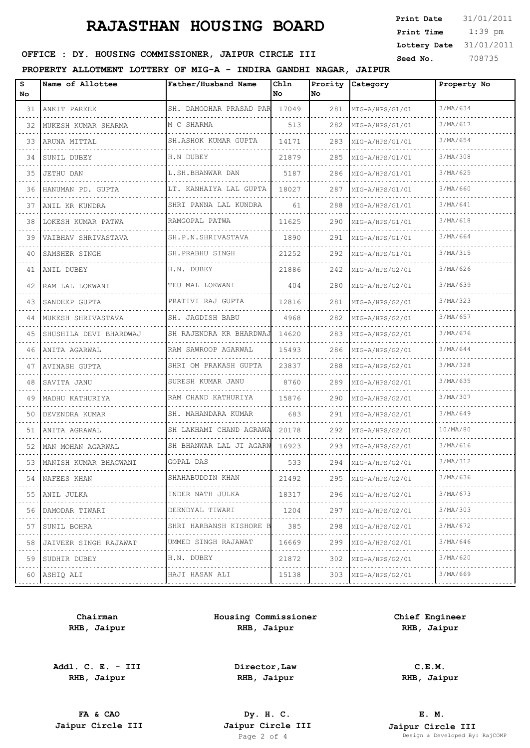## **RAJASTHAN HOUSING BOARD**

 1:39 pm **Print Date**  $31/01/2011$ **Print Time Lottery Date** 31/01/2011

## **SEED OFFICE : DY. HOUSING COMMISSIONER, JAIPUR CIRCLE III** Seed No. 208735

**PROPERTY ALLOTMENT LOTTERY OF MIG-A - INDIRA GANDHI NAGAR, JAIPUR**

| s<br>No | Name of Allottee           | Father/Husband Name     | Ch1n<br>No | Prority<br>No | Category        | Property No |
|---------|----------------------------|-------------------------|------------|---------------|-----------------|-------------|
| 31      | ANKIT PAREEK               | SH. DAMODHAR PRASAD PAR | 17049      | 281           | MIG-A/HPS/G1/01 | 3/MA/634    |
| 32      | MUKESH KUMAR SHARMA        | M C SHARMA              | 513        | 282           | MIG-A/HPS/G1/01 | 3/MA/617    |
| 33      | ARUNA MITTAL               | SH.ASHOK KUMAR GUPTA    | 14171      | 283           | MIG-A/HPS/G1/01 | 3/MA/654    |
| 34      | SUNIL DUBEY                | H.N DUBEY               | 21879      | 285           | MIG-A/HPS/G1/01 | 3/MA/308    |
| 35      | JETHU DAN                  | L.SH.BHANWAR DAN        | 5187       | 286           | MIG-A/HPS/G1/01 | 3/MA/625    |
| 36      | HANUMAN PD. GUPTA          | LT. KANHAIYA LAL GUPTA  | 18027      | 287           | MIG-A/HPS/G1/01 | 3/MA/660    |
| 37      | ANIL KR KUNDRA             | SHRI PANNA LAL KUNDRA   | 61         | 288           | MIG-A/HPS/G1/01 | 3/MA/641    |
| 38      | LOKESH KUMAR PATWA         | RAMGOPAL PATWA          | 11625      | 290           | MIG-A/HPS/G1/01 | 3/MA/618    |
| 39      | VAIBHAV SHRIVASTAVA        | SH.P.N.SHRIVASTAVA      | 1890       | 291           | MIG-A/HPS/G1/01 | 3/MA/664    |
| 40      | SAMSHER SINGH              | SH. PRABHU SINGH        | 21252      | 292           | MIG-A/HPS/G1/01 | 3/MA/315    |
| 41      | ANIL DUBEY                 | H.N. DUBEY              | 21886      | 242           | MIG-A/HPS/G2/01 | 3/MA/626    |
| 42      | RAM LAL LOKWANI            | TEU MAL LOKWANI         | 404        | 280           | MIG-A/HPS/G2/01 | 3/MA/639    |
| 43      | SANDEEP GUPTA              | PRATIVI RAJ GUPTA       | 12816      | 281           | MIG-A/HPS/G2/01 | 3/MA/323    |
| 44      | MUKESH SHRIVASTAVA         | SH. JAGDISH BABU        | 4968       | 282           | MIG-A/HPS/G2/01 | 3/MA/657    |
| 45      | SHUSHILA DEVI BHARDWAJ     | SH RAJENDRA KR BHARDWAJ | 14620      | 283           | MIG-A/HPS/G2/01 | 3/MA/676    |
| 46      | ANITA AGARWAL              | RAM SAWROOP AGARWAL     | 15493      | 286           | MIG-A/HPS/G2/01 | 3/MA/644    |
| 47      | AVINASH GUPTA              | SHRI OM PRAKASH GUPTA   | 23837      | 288           | MIG-A/HPS/G2/01 | 3/MA/328    |
| 48      | SAVITA JANU                | SURESH KUMAR JANU       | 8760       | 289           | MIG-A/HPS/G2/01 | 3/MA/635    |
| 49      | MADHU KATHURIYA            | RAM CHAND KATHURIYA     | 15876      | 290           | MIG-A/HPS/G2/01 | 3/MA/307    |
| 50      | DEVENDRA KUMAR             | SH. MAHANDARA KUMAR     | 683        | 291           | MIG-A/HPS/G2/01 | 3/MA/649    |
| 51      | ANITA AGRAWAL              | SH LAKHAMI CHAND AGRAWA | 20178      | 292           | MIG-A/HPS/G2/01 | 10/MA/80    |
| 52      | MAN MOHAN AGARWAL          | SH BHANWAR LAL JI AGARW | 16923      | 293           | MIG-A/HPS/G2/01 | 3/MA/616    |
|         | 53   MANISH KUMAR BHAGWANI | GOPAL DAS               | 533        | 294           | MIG-A/HPS/G2/01 | 3/MA/312    |
|         | 54   NAFEES KHAN           | SHAHABUDDIN KHAN        | 21492      | 295           | MIG-A/HPS/G2/01 | 3/MA/636    |
|         | 55 ANIL JULKA              | INDER NATH JULKA        | 18317      | 296           | MIG-A/HPS/G2/01 | 3/MA/673    |
| 56      | DAMODAR TIWARI             | DEENDYAL TIWARI         | 1204       | 297           | MIG-A/HPS/G2/01 | 3/MA/303    |
| 57      | SUNIL BOHRA                | SHRI HARBANSH KISHORE B | 385        | 298           | MIG-A/HPS/G2/01 | 3/MA/672    |
| 58      | JAIVEER SINGH RAJAWAT      | UMMED SINGH RAJAWAT     | 16669      | 299           | MIG-A/HPS/G2/01 | 3/MA/646    |
| 59      | SUDHIR DUBEY               | H.N. DUBEY              | 21872      | 302           | MIG-A/HPS/G2/01 | 3/MA/620    |
|         | 60 ASHIO ALI               | HAJI HASAN ALI          | 15138      | 303           | MIG-A/HPS/G2/01 | 3/MA/669    |
|         |                            |                         |            |               |                 |             |

**Chairman RHB, Jaipur**

**Addl. C. E. - III RHB, Jaipur**

**Housing Commissioner RHB, Jaipur**

**Chief Engineer RHB, Jaipur**

**Director,Law RHB, Jaipur**

**C.E.M. RHB, Jaipur**

**FA & CAO Dy. H. C.**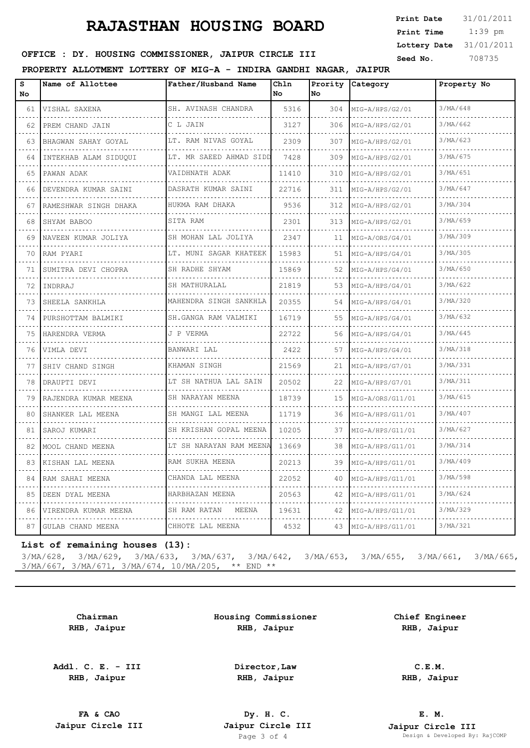## **RAJASTHAN HOUSING BOARD**

| <b>Print Date</b> | 31/01/2011 |
|-------------------|------------|
| Print Time        | $1:39$ pm  |
| Lottery Date      | 31/01/2011 |
| Seed No.          | 708735     |

### OFFICE : DY. HOUSING COMMISSIONER, JAIPUR CIRCLE III

#### **PROPERTY ALLOTMENT LOTTERY OF MIG-A - INDIRA GANDHI NAGAR, JAIPUR**

| S<br>No. | Name of Allottee          | Father/Husband Name         | Chln<br>No | Prority<br>No | Category             | Property No |
|----------|---------------------------|-----------------------------|------------|---------------|----------------------|-------------|
| 61       | VISHAL SAXENA             | SH. AVINASH CHANDRA         | 5316       | 304           | MIG-A/HPS/G2/01<br>. | 3/MA/648    |
| 62       | PREM CHAND JAIN           | C L JAIN                    | 3127       | 306           | MIG-A/HPS/G2/01      | 3/MA/662    |
| 63       | BHAGWAN SAHAY GOYAL       | LT. RAM NIVAS GOYAL         | 2309       | 307           | MIG-A/HPS/G2/01      | 3/MA/623    |
| 64       | INTEKHAB ALAM SIDUQUI     | LT. MR SAEED AHMAD SIDD     | 7428       | 309           | MIG-A/HPS/G2/01      | 3/MA/675    |
| 65       | PAWAN ADAK                | VAIDHNATH ADAK<br>.         | 11410      | 310           | MIG-A/HPS/G2/01      | 3/MA/651    |
| 66       | DEVENDRA KUMAR SAINI      | DASRATH KUMAR SAINI         | 22716      | 311           | MIG-A/HPS/G2/01      | 3/MA/647    |
| 67       | RAMESHWAR SINGH DHAKA     | HUKMA RAM DHAKA             | 9536       | 312           | MIG-A/HPS/G2/01      | 3/MA/304    |
| 68<br>.  | SHYAM BABOO               | SITA RAM                    | 2301       | 313           | MIG-A/HPS/G2/01<br>. | 3/MA/659    |
| 69.      | NAVEEN KUMAR JOLIYA       | SH MOHAN LAL JOLIYA         | 2347       | 11            | MIG-A/ORS/G4/01      | 3/MA/309    |
| 70       | RAM PYARI                 | LT. MUNI SAGAR KHATEEK      | 15983      | 51            | MIG-A/HPS/G4/01<br>. | 3/MA/305    |
| 71       | SUMITRA DEVI CHOPRA       | SH RADHE SHYAM<br>.         | 15869      | 52            | MIG-A/HPS/G4/01      | 3/MA/650    |
| 72       | INDRRAJ                   | SH MATHURALAL               | 21819      | 53            | MIG-A/HPS/G4/01      | 3/MA/622    |
| 73       | SHEELA SANKHLA            | MAHENDRA SINGH SANKHLA      | 20355      | 54            | MIG-A/HPS/G4/01      | 3/MA/320    |
| 74       | PURSHOTTAM BALMIKI        | SH.GANGA RAM VALMIKI<br>.   | 16719      | 55            | MIG-A/HPS/G4/01      | 3/MA/632    |
| 75       | HARENDRA VERMA            | J P VERMA                   | 22722      | 56            | MIG-A/HPS/G4/01<br>. | 3/MA/645    |
| 76       | VIMLA DEVI                | BANWARI LAL                 | 2422       | 57            | MIG-A/HPS/G4/01      | 3/MA/318    |
| 77       | SHIV CHAND SINGH          | KHAMAN SINGH                | 21569      | 21            | MIG-A/HPS/G7/01      | 3/MA/331    |
| 78<br>.  | DRAUPTI DEVI              | LT SH NATHUA LAL SAIN       | 20502      | 22            | MIG-A/HPS/G7/01      | 3/MA/311    |
| 79       | RAJENDRA KUMAR MEENA      | SH NARAYAN MEENA            | 18739      | 15            | MIG-A/ORS/G11/01     | 3/MA/615    |
| 80       | SHANKER LAL MEENA         | SH MANGI LAL MEENA          | 11719      | 36            | MIG-A/HPS/G11/01     | 3/MA/407    |
| 81       | SAROJ KUMARI              | SH KRISHAN GOPAL MEENA<br>. | 10205      | 37            | MIG-A/HPS/G11/01     | 3/MA/627    |
| 82.      | MOOL CHAND MEENA          | LT SH NARAYAN RAM MEENA     | 13669      | 38            | MIG-A/HPS/G11/01     | 3/MA/314    |
| 83       | KISHAN LAL MEENA          | RAM SUKHA MEENA             | 20213      | 39            | MIG-A/HPS/G11/01     | 3/MA/409    |
| 84       | RAM SAHAI MEENA           | CHANDA LAL MEENA            | 22052      | 40            | MIG-A/HPS/G11/01     | 3/MA/598    |
| 85       | DEEN DYAL MEENA           | HARBHAZAN MEENA<br>.        | 20563      | 42            | MIG-A/HPS/G11/01     | 3/MA/624    |
| 86       | VIRENDRA KUMAR MEENA<br>. | SH RAM RATAN MEENA          | 19631      | 42            | MIG-A/HPS/G11/01     | 3/MA/329    |
| 87       | GULAB CHAND MEENA         | CHHOTE LAL MEENA            | 4532       | 43            | MIG-A/HPS/G11/01     | 3/MA/321    |

#### **List of remaining houses (13):**

3/MA/628, 3/MA/629, 3/MA/633, 3/MA/637, 3/MA/642, 3/MA/653, 3/MA/655, 3/MA/661, 3/MA/665, 3/MA/667, 3/MA/671, 3/MA/674, 10/MA/205, \*\* END \*\*

> **Chairman RHB, Jaipur**

**Addl. C. E. - III RHB, Jaipur**

**Housing Commissioner RHB, Jaipur**

> **Director,Law RHB, Jaipur**

**Chief Engineer RHB, Jaipur**

> **C.E.M. RHB, Jaipur**

**FA & CAO Dy. H. C.**

**E. M. Jaipur Circle III Jaipur Circle III Jaipur Circle III Jaipur Circle III Jaipur Circle III Page 3 of 4 Design & Developed By:** Pesign & Developed By: RajCOMP